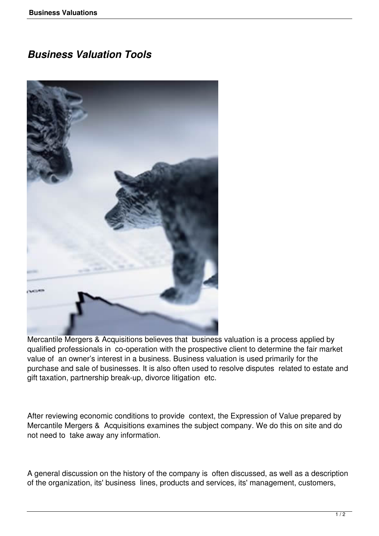## *Business Valuation Tools*



Mercantile Mergers & Acquisitions believes that business valuation is a process applied by qualified professionals in co-operation with the prospective client to determine the fair market value of an owner's interest in a business. Business valuation is used primarily for the purchase and sale of businesses. It is also often used to resolve disputes related to estate and gift taxation, partnership break-up, divorce litigation etc.

After reviewing economic conditions to provide context, the Expression of Value prepared by Mercantile Mergers & Acquisitions examines the subject company. We do this on site and do not need to take away any information.

A general discussion on the history of the company is often discussed, as well as a description of the organization, its' business lines, products and services, its' management, customers,